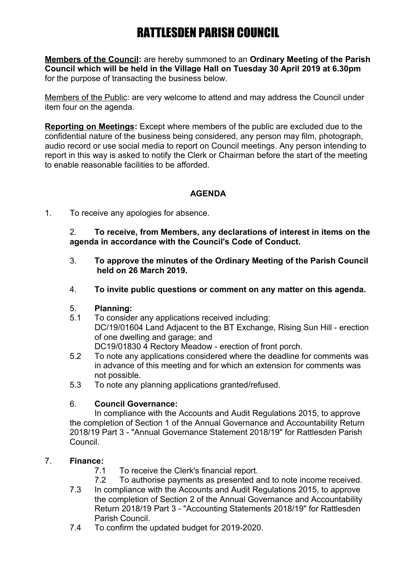# RATTLESDEN PARISH COUNCIL

**Members of the Council:** are hereby summoned to an **Ordinary Meeting of the Parish Council which will be held in the Village Hall on Tuesday 30 April 2019 at 6.30pm** for the purpose of transacting the business below.

Members of the Public: are very welcome to attend and may address the Council under item four on the agenda.

**Reporting on Meetings:** Except where members of the public are excluded due to the confidential nature of the business being considered, any person may film, photograph, audio record or use social media to report on Council meetings. Any person intending to report in this way is asked to notify the Clerk or Chairman before the start of the meeting to enable reasonable facilities to be afforded.

## **AGENDA**

1. To receive any apologies for absence.

2. **To receive, from Members, any declarations of interest in items on the agenda in accordance with the Council's Code of Conduct.**

- 3. **To approve the minutes of the Ordinary Meeting of the Parish Council held on 26 March 2019.**
- 4. **To invite public questions or comment on any matter on this agenda.**

#### 5. **Planning:**

- 5.1 To consider any applications received including: DC/19/01604 Land Adjacent to the BT Exchange, Rising Sun Hill - erection of one dwelling and garage; and DC19/01830 4 Rectory Meadow - erection of front porch.
- 5.2 To note any applications considered where the deadline for comments was in advance of this meeting and for which an extension for comments was not possible.
- 5.3 To note any planning applications granted/refused.

#### 6. **Council Governance:**

In compliance with the Accounts and Audit Regulations 2015, to approve the completion of Section 1 of the Annual Governance and Accountability Return 2018/19 Part 3 - "Annual Governance Statement 2018/19" for Rattlesden Parish Council.

## 7. **Finance:**

- 7.1 To receive the Clerk's financial report.
- 7.2 To authorise payments as presented and to note income received.
- 7.3 In compliance with the Accounts and Audit Regulations 2015, to approve the completion of Section 2 of the Annual Governance and Accountability Return 2018/19 Part 3 - "Accounting Statements 2018/19" for Rattlesden Parish Council.
- 7.4 To confirm the updated budget for 2019-2020.